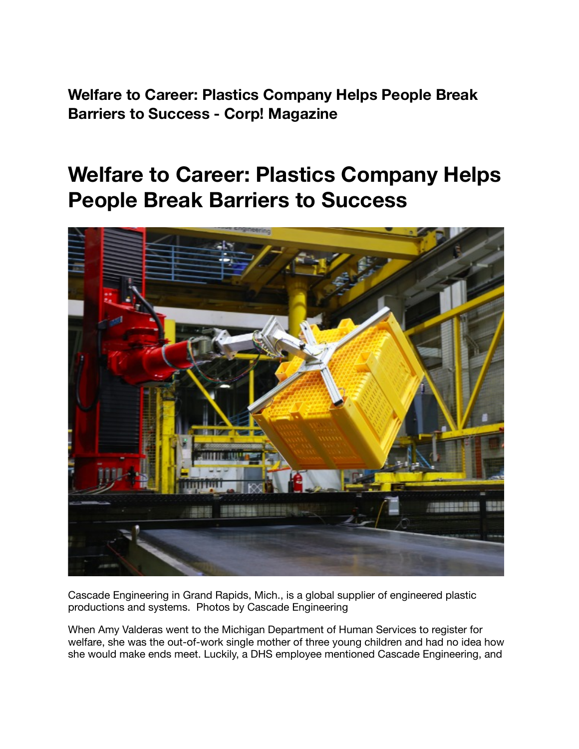**Welfare to Career: Plastics Company Helps People Break Barriers to Success - Corp! Magazine**

## **Welfare to Career: Plastics Company Helps People Break Barriers to Success**



Cascade Engineering in Grand Rapids, Mich., is a global supplier of engineered plastic productions and systems. Photos by Cascade Engineering

When Amy Valderas went to the Michigan Department of Human Services to register for welfare, she was the out-of-work single mother of three young children and had no idea how she would make ends meet. Luckily, a DHS employee mentioned Cascade Engineering, and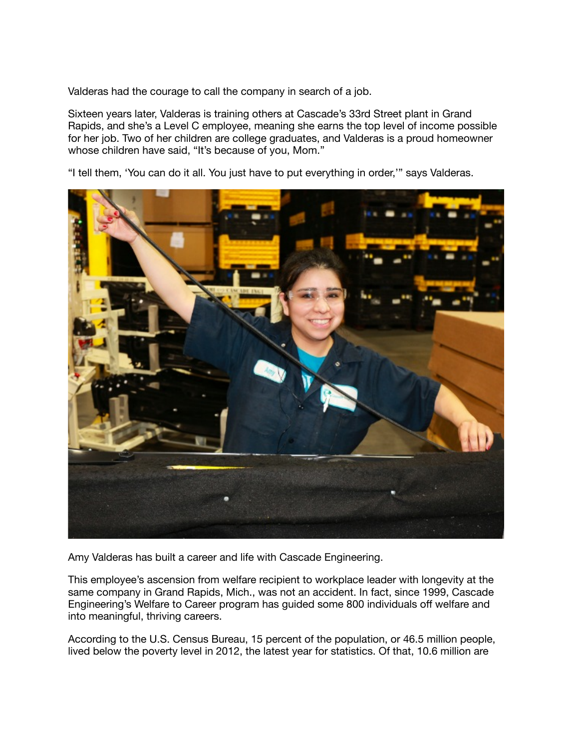Valderas had the courage to call the company in search of a job.

Sixteen years later, Valderas is training others at Cascade's 33rd Street plant in Grand Rapids, and she's a Level C employee, meaning she earns the top level of income possible for her job. Two of her children are college graduates, and Valderas is a proud homeowner whose children have said, "It's because of you, Mom."

"I tell them, 'You can do it all. You just have to put everything in order,'" says Valderas.



Amy Valderas has built a career and life with Cascade Engineering.

This employee's ascension from welfare recipient to workplace leader with longevity at the same company in Grand Rapids, Mich., was not an accident. In fact, since 1999, Cascade Engineering's Welfare to Career program has guided some 800 individuals off welfare and into meaningful, thriving careers.

According to the U.S. Census Bureau, 15 percent of the population, or 46.5 million people, lived below the poverty level in 2012, the latest year for statistics. Of that, 10.6 million are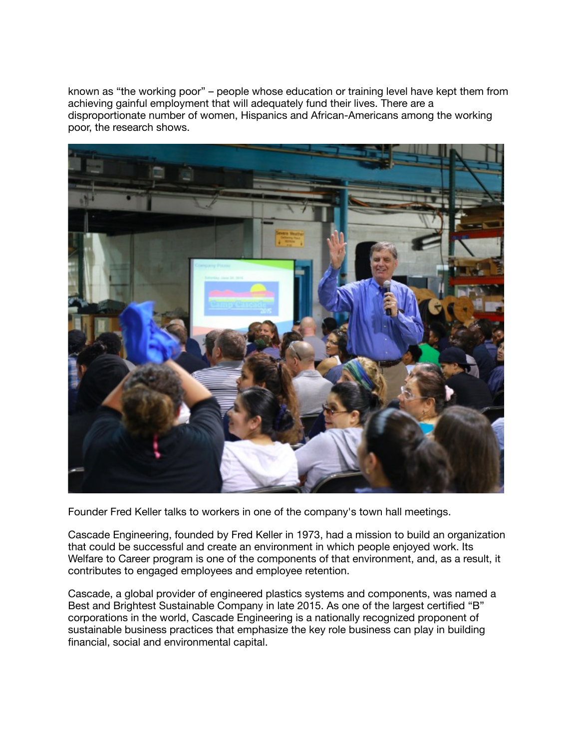known as "the working poor" – people whose education or training level have kept them from achieving gainful employment that will adequately fund their lives. There are a disproportionate number of women, Hispanics and African-Americans among the working poor, the research shows.



Founder Fred Keller talks to workers in one of the company's town hall meetings.

Cascade Engineering, founded by Fred Keller in 1973, had a mission to build an organization that could be successful and create an environment in which people enjoyed work. Its Welfare to Career program is one of the components of that environment, and, as a result, it contributes to engaged employees and employee retention.

Cascade, a global provider of engineered plastics systems and components, was named a Best and Brightest Sustainable Company in late 2015. As one of the largest certified "B" corporations in the world, Cascade Engineering is a nationally recognized proponent of sustainable business practices that emphasize the key role business can play in building financial, social and environmental capital.